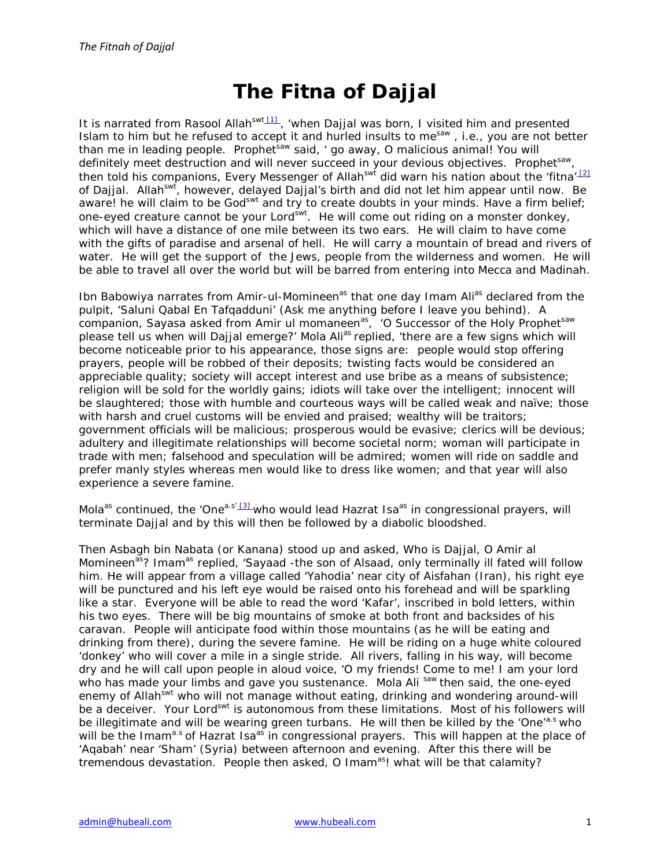## **The Fitna of Dajjal**

It is narrated from Rasool Allah<sup>swt [1]</sup>, 'when Dajjal was born, I visited him and presented Islam to him but he refused to accept it and hurled insults to me<sup>saw</sup>, i.e., you are not better than me in leading people. Prophet<sup>saw</sup> said, ' go away, O malicious animal! You will definitely meet destruction and will never succeed in your devious objectives. Prophet<sup>saw</sup>, then told his companions, Every Messenger of Allah<sup>swt</sup> did warn his nation about the 'fitna'<sup>[2]</sup> of Dajjal. Allah<sup>swt</sup>, however, delayed Dajjal's birth and did not let him appear until now. Be aware! he will claim to be God<sup>swt</sup> and try to create doubts in your minds. Have a firm belief; one-eyed creature cannot be your Lord<sup>swt</sup>. He will come out riding on a monster donkey, which will have a distance of one mile between its two ears. He will claim to have come with the gifts of paradise and arsenal of hell. He will carry a mountain of bread and rivers of water. He will get the support of the Jews, people from the wilderness and women. He will be able to travel all over the world but will be barred from entering into Mecca and Madinah.

Ibn Babowiya narrates from Amir-ul-Momineen<sup>as</sup> that one day Imam Ali<sup>as</sup> declared from the pulpit, 'Saluni Qabal En Tafqadduni' (Ask me anything before I leave you behind). A companion, Sayasa asked from Amir ul momaneen<sup>as</sup>, 'O Successor of the Holy Prophet<sup>saw</sup> please tell us when will Dajjal emerge?' Mola Ali<sup>as</sup> replied, 'there are a few signs which will become noticeable prior to his appearance, those signs are: people would stop offering prayers, people will be robbed of their deposits; twisting facts would be considered an appreciable quality; society will accept interest and use bribe as a means of subsistence; religion will be sold for the worldly gains; idiots will take over the intelligent; innocent will be slaughtered; those with humble and courteous ways will be called weak and naïve; those with harsh and cruel customs will be envied and praised; wealthy will be traitors; government officials will be malicious; prosperous would be evasive; clerics will be devious; adultery and illegitimate relationships will become societal norm; woman will participate in trade with men; falsehood and speculation will be admired; women will ride on saddle and prefer manly styles whereas men would like to dress like women; and that year will also experience a severe famine.

Mola<sup>as</sup> continued, the 'One<sup>a.s' [3]</sup> who would lead Hazrat Isa<sup>as</sup> in congressional prayers, will terminate Dajjal and by this will then be followed by a diabolic bloodshed.

Then Asbagh bin Nabata (or Kanana) stood up and asked, Who is Dajjal, O Amir al Momineen<sup>as</sup>? Imam<sup>as</sup> replied, 'Sayaad -the son of Alsaad, only terminally ill fated will follow him. He will appear from a village called 'Yahodia' near city of Aisfahan (Iran), his right eye will be punctured and his left eye would be raised onto his forehead and will be sparkling like a star. Everyone will be able to read the word 'Kafar', inscribed in bold letters, within his two eyes. There will be big mountains of smoke at both front and backsides of his caravan. People will anticipate food within those mountains (as he will be eating and drinking from there), during the severe famine. He will be riding on a huge white coloured 'donkey' who will cover a mile in a single stride. All rivers, falling in his way, will become dry and he will call upon people in aloud voice, 'O my friends! Come to me! I am your lord who has made your limbs and gave you sustenance. Mola Ali saw then said, the one-eyed enemy of Allah<sup>swt</sup> who will not manage without eating, drinking and wondering around-will be a deceiver. Your Lord<sup>swt</sup> is autonomous from these limitations. Most of his followers will be illegitimate and will be wearing green turbans. He will then be killed by the 'One'<sup>a.s</sup> who will be the Imam<sup>a.s</sup> of Hazrat Isa<sup>as</sup> in congressional prayers. This will happen at the place of 'Aqabah' near 'Sham' (Syria) between afternoon and evening. After this there will be tremendous devastation. People then asked, O Imam<sup>as</sup>! what will be that calamity?